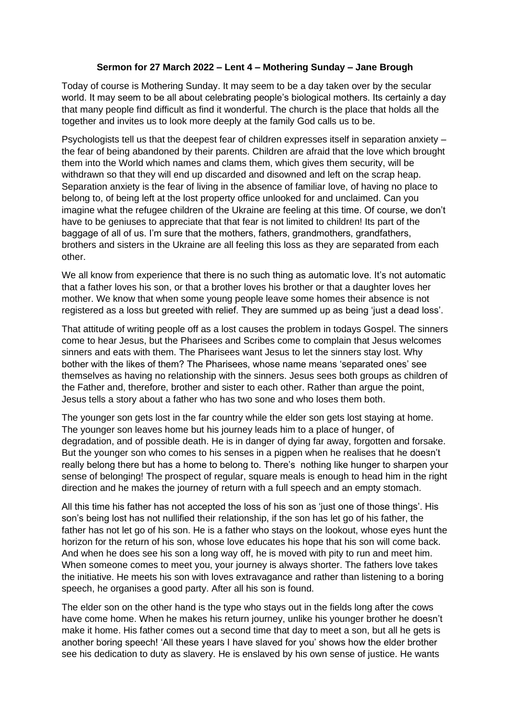## **Sermon for 27 March 2022 – Lent 4 – Mothering Sunday – Jane Brough**

Today of course is Mothering Sunday. It may seem to be a day taken over by the secular world. It may seem to be all about celebrating people's biological mothers. Its certainly a day that many people find difficult as find it wonderful. The church is the place that holds all the together and invites us to look more deeply at the family God calls us to be.

Psychologists tell us that the deepest fear of children expresses itself in separation anxiety – the fear of being abandoned by their parents. Children are afraid that the love which brought them into the World which names and clams them, which gives them security, will be withdrawn so that they will end up discarded and disowned and left on the scrap heap. Separation anxiety is the fear of living in the absence of familiar love, of having no place to belong to, of being left at the lost property office unlooked for and unclaimed. Can you imagine what the refugee children of the Ukraine are feeling at this time. Of course, we don't have to be geniuses to appreciate that that fear is not limited to children! Its part of the baggage of all of us. I'm sure that the mothers, fathers, grandmothers, grandfathers, brothers and sisters in the Ukraine are all feeling this loss as they are separated from each other.

We all know from experience that there is no such thing as automatic love. It's not automatic that a father loves his son, or that a brother loves his brother or that a daughter loves her mother. We know that when some young people leave some homes their absence is not registered as a loss but greeted with relief. They are summed up as being 'just a dead loss'.

That attitude of writing people off as a lost causes the problem in todays Gospel. The sinners come to hear Jesus, but the Pharisees and Scribes come to complain that Jesus welcomes sinners and eats with them. The Pharisees want Jesus to let the sinners stay lost. Why bother with the likes of them? The Pharisees, whose name means 'separated ones' see themselves as having no relationship with the sinners. Jesus sees both groups as children of the Father and, therefore, brother and sister to each other. Rather than argue the point, Jesus tells a story about a father who has two sone and who loses them both.

The younger son gets lost in the far country while the elder son gets lost staying at home. The younger son leaves home but his journey leads him to a place of hunger, of degradation, and of possible death. He is in danger of dying far away, forgotten and forsake. But the younger son who comes to his senses in a pigpen when he realises that he doesn't really belong there but has a home to belong to. There's nothing like hunger to sharpen your sense of belonging! The prospect of regular, square meals is enough to head him in the right direction and he makes the journey of return with a full speech and an empty stomach.

All this time his father has not accepted the loss of his son as 'just one of those things'. His son's being lost has not nullified their relationship, if the son has let go of his father, the father has not let go of his son. He is a father who stays on the lookout, whose eyes hunt the horizon for the return of his son, whose love educates his hope that his son will come back. And when he does see his son a long way off, he is moved with pity to run and meet him. When someone comes to meet you, your journey is always shorter. The fathers love takes the initiative. He meets his son with loves extravagance and rather than listening to a boring speech, he organises a good party. After all his son is found.

The elder son on the other hand is the type who stays out in the fields long after the cows have come home. When he makes his return journey, unlike his younger brother he doesn't make it home. His father comes out a second time that day to meet a son, but all he gets is another boring speech! 'All these years I have slaved for you' shows how the elder brother see his dedication to duty as slavery. He is enslaved by his own sense of justice. He wants